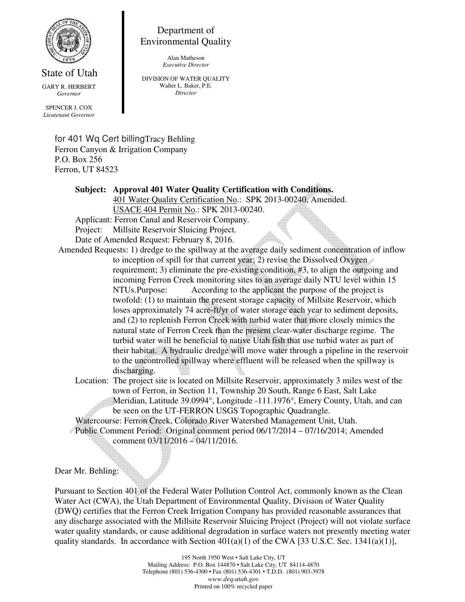

## Department of Environmental Quality

Alan Matheson *Executive Director* 

State of Utah GARY R. HERBERT *Governor* 

SPENCER J. COX *Lieutenant Governor*  DIVISION OF WATER QUALITY Walter L. Baker, P.E. *Director* 

for 401 Wq Cert billingTracy Behling Ferron Canyon & Irrigation Company P.O. Box 256 Ferron, UT 84523

## **Subject: Approval 401 Water Quality Certification with Conditions.**

 401 Water Quality Certification No.: SPK 2013-00240, Amended. USACE 404 Permit No.: SPK 2013-00240.

Applicant: Ferron Canal and Reservoir Company.

Project: Millsite Reservoir Sluicing Project.

Date of Amended Request: February 8, 2016.

Amended Requests: 1) dredge to the spillway at the average daily sediment concentration of inflow to inception of spill for that current year; 2) revise the Dissolved Oxygen requirement; 3) eliminate the pre-existing condition, #3, to align the outgoing and incoming Ferron Creek monitoring sites to an average daily NTU level within 15 NTUs. Purpose: According to the applicant the purpose of the project is twofold: (1) to maintain the present storage capacity of Millsite Reservoir, which loses approximately 74 acre-ft/yr of water storage each year to sediment deposits, and (2) to replenish Ferron Creek with turbid water that more closely mimics the natural state of Ferron Creek than the present clear-water discharge regime. The turbid water will be beneficial to native Utah fish that use turbid water as part of their habitat. A hydraulic dredge will move water through a pipeline in the reservoir to the uncontrolled spillway where effluent will be released when the spillway is discharging.

 Location: The project site is located on Millsite Reservoir, approximately 3 miles west of the town of Ferron, in Section 11, Township 20 South, Range 6 East, Salt Lake Meridian, Latitude 39.0994°, Longitude -111.1976°, Emery County, Utah, and can be seen on the UT-FERRON USGS Topographic Quadrangle.

Watercourse: Ferron Creek, Colorado River Watershed Management Unit, Utah.

 Public Comment Period: Original comment period 06/17/2014 – 07/16/2014; Amended comment 03/11/2016 – 04/11/2016.

Dear Mr. Behling:

Pursuant to Section 401 of the Federal Water Pollution Control Act, commonly known as the Clean Water Act (CWA), the Utah Department of Environmental Quality, Division of Water Quality (DWQ) certifies that the Ferron Creek Irrigation Company has provided reasonable assurances that any discharge associated with the Millsite Reservoir Sluicing Project (Project) will not violate surface water quality standards, or cause additional degradation in surface waters not presently meeting water quality standards. In accordance with Section  $401(a)(1)$  of the CWA [33 U.S.C. Sec. 1341(a)(1)],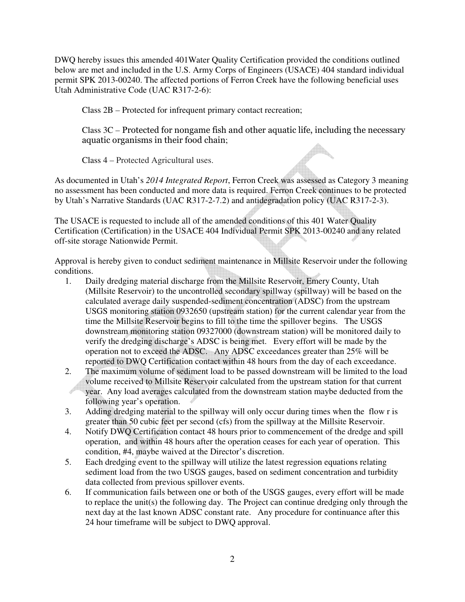DWQ hereby issues this amended 401Water Quality Certification provided the conditions outlined below are met and included in the U.S. Army Corps of Engineers (USACE) 404 standard individual permit SPK 2013-00240. The affected portions of Ferron Creek have the following beneficial uses Utah Administrative Code (UAC R317-2-6):

Class 2B – Protected for infrequent primary contact recreation;

Class 3C – Protected for nongame fish and other aquatic life, including the necessary aquatic organisms in their food chain;

Class 4 – Protected Agricultural uses.

As documented in Utah's *2014 Integrated Report*, Ferron Creek was assessed as Category 3 meaning no assessment has been conducted and more data is required. Ferron Creek continues to be protected by Utah's Narrative Standards (UAC R317-2-7.2) and antidegradation policy (UAC R317-2-3).

The USACE is requested to include all of the amended conditions of this 401 Water Quality Certification (Certification) in the USACE 404 Individual Permit SPK 2013-00240 and any related off-site storage Nationwide Permit.

Approval is hereby given to conduct sediment maintenance in Millsite Reservoir under the following conditions.

- 1. Daily dredging material discharge from the Millsite Reservoir, Emery County, Utah (Millsite Reservoir) to the uncontrolled secondary spillway (spillway) will be based on the calculated average daily suspended-sediment concentration (ADSC) from the upstream USGS monitoring station 0932650 (upstream station) for the current calendar year from the time the Millsite Reservoir begins to fill to the time the spillover begins. The USGS downstream monitoring station 09327000 (downstream station) will be monitored daily to verify the dredging discharge's ADSC is being met. Every effort will be made by the operation not to exceed the ADSC. Any ADSC exceedances greater than 25% will be reported to DWQ Certification contact within 48 hours from the day of each exceedance.
- 2. The maximum volume of sediment load to be passed downstream will be limited to the load volume received to Millsite Reservoir calculated from the upstream station for that current year. Any load averages calculated from the downstream station maybe deducted from the following year's operation.
- 3. Adding dredging material to the spillway will only occur during times when the flow r is greater than 50 cubic feet per second (cfs) from the spillway at the Millsite Reservoir.
- 4. Notify DWQ Certification contact 48 hours prior to commencement of the dredge and spill operation, and within 48 hours after the operation ceases for each year of operation. This condition, #4, maybe waived at the Director's discretion.
- 5. Each dredging event to the spillway will utilize the latest regression equations relating sediment load from the two USGS gauges, based on sediment concentration and turbidity data collected from previous spillover events.
- 6. If communication fails between one or both of the USGS gauges, every effort will be made to replace the unit(s) the following day. The Project can continue dredging only through the next day at the last known ADSC constant rate. Any procedure for continuance after this 24 hour timeframe will be subject to DWQ approval.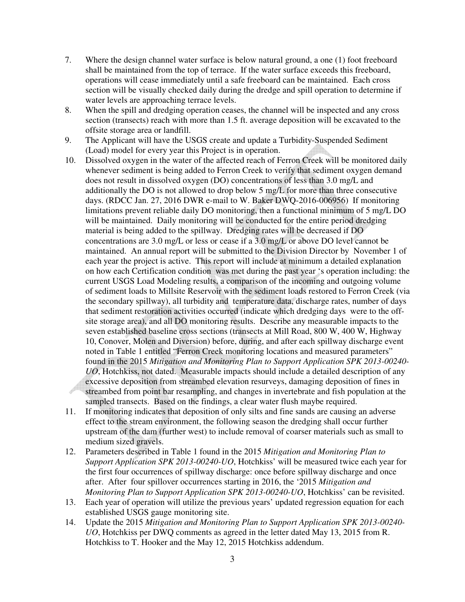- 7. Where the design channel water surface is below natural ground, a one (1) foot freeboard shall be maintained from the top of terrace. If the water surface exceeds this freeboard, operations will cease immediately until a safe freeboard can be maintained. Each cross section will be visually checked daily during the dredge and spill operation to determine if water levels are approaching terrace levels.
- 8. When the spill and dredging operation ceases, the channel will be inspected and any cross section (transects) reach with more than 1.5 ft. average deposition will be excavated to the offsite storage area or landfill.
- 9. The Applicant will have the USGS create and update a Turbidity-Suspended Sediment (Load) model for every year this Project is in operation.
- 10. Dissolved oxygen in the water of the affected reach of Ferron Creek will be monitored daily whenever sediment is being added to Ferron Creek to verify that sediment oxygen demand does not result in dissolved oxygen (DO) concentrations of less than 3.0 mg/L and additionally the DO is not allowed to drop below 5 mg/L for more than three consecutive days. (RDCC Jan. 27, 2016 DWR e-mail to W. Baker DWQ-2016-006956) If monitoring limitations prevent reliable daily DO monitoring, then a functional minimum of 5 mg/L DO will be maintained. Daily monitoring will be conducted for the entire period dredging material is being added to the spillway. Dredging rates will be decreased if DO concentrations are 3.0 mg/L or less or cease if a 3.0 mg/L or above DO level cannot be maintained. An annual report will be submitted to the Division Director by November 1 of each year the project is active. This report will include at minimum a detailed explanation on how each Certification condition was met during the past year 's operation including: the current USGS Load Modeling results, a comparison of the incoming and outgoing volume of sediment loads to Millsite Reservoir with the sediment loads restored to Ferron Creek (via the secondary spillway), all turbidity and temperature data, discharge rates, number of days that sediment restoration activities occurred (indicate which dredging days were to the offsite storage area), and all DO monitoring results. Describe any measurable impacts to the seven established baseline cross sections (transects at Mill Road, 800 W, 400 W, Highway 10, Conover, Molen and Diversion) before, during, and after each spillway discharge event noted in Table 1 entitled "Ferron Creek monitoring locations and measured parameters" found in the 2015 *Mitigation and Monitoring Plan to Support Application SPK 2013-00240- UO*, Hotchkiss, not dated. Measurable impacts should include a detailed description of any excessive deposition from streambed elevation resurveys, damaging deposition of fines in streambed from point bar resampling, and changes in invertebrate and fish population at the sampled transects. Based on the findings, a clear water flush maybe required.
- 11. If monitoring indicates that deposition of only silts and fine sands are causing an adverse effect to the stream environment, the following season the dredging shall occur further upstream of the dam (further west) to include removal of coarser materials such as small to medium sized gravels.
- 12. Parameters described in Table 1 found in the 2015 *Mitigation and Monitoring Plan to Support Application SPK 2013-00240-UO*, Hotchkiss' will be measured twice each year for the first four occurrences of spillway discharge: once before spillway discharge and once after. After four spillover occurrences starting in 2016, the '2015 *Mitigation and Monitoring Plan to Support Application SPK 2013-00240-UO*, Hotchkiss' can be revisited.
- 13. Each year of operation will utilize the previous years' updated regression equation for each established USGS gauge monitoring site.
- 14. Update the 2015 *Mitigation and Monitoring Plan to Support Application SPK 2013-00240- UO*, Hotchkiss per DWQ comments as agreed in the letter dated May 13, 2015 from R. Hotchkiss to T. Hooker and the May 12, 2015 Hotchkiss addendum.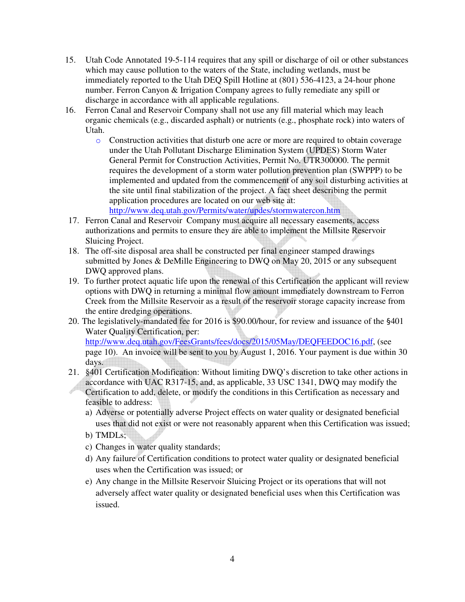- 15. Utah Code Annotated 19-5-114 requires that any spill or discharge of oil or other substances which may cause pollution to the waters of the State, including wetlands, must be immediately reported to the Utah DEQ Spill Hotline at (801) 536-4123, a 24-hour phone number. Ferron Canyon & Irrigation Company agrees to fully remediate any spill or discharge in accordance with all applicable regulations.
- 16. Ferron Canal and Reservoir Company shall not use any fill material which may leach organic chemicals (e.g., discarded asphalt) or nutrients (e.g., phosphate rock) into waters of Utah.
	- o Construction activities that disturb one acre or more are required to obtain coverage under the Utah Pollutant Discharge Elimination System (UPDES) Storm Water General Permit for Construction Activities, Permit No. UTR300000. The permit requires the development of a storm water pollution prevention plan (SWPPP) to be implemented and updated from the commencement of any soil disturbing activities at the site until final stabilization of the project. A fact sheet describing the permit application procedures are located on our web site at: http://www.deq.utah.gov/Permits/water/updes/stormwatercon.htm
- 17. Ferron Canal and Reservoir Company must acquire all necessary easements, access authorizations and permits to ensure they are able to implement the Millsite Reservoir Sluicing Project.
- 18. The off-site disposal area shall be constructed per final engineer stamped drawings submitted by Jones & DeMille Engineering to DWQ on May 20, 2015 or any subsequent DWQ approved plans.
- 19. To further protect aquatic life upon the renewal of this Certification the applicant will review options with DWQ in returning a minimal flow amount immediately downstream to Ferron Creek from the Millsite Reservoir as a result of the reservoir storage capacity increase from the entire dredging operations.
- 20. The legislatively-mandated fee for 2016 is \$90.00/hour, for review and issuance of the §401 Water Quality Certification, per: http://www.deq.utah.gov/FeesGrants/fees/docs/2015/05May/DEQFEEDOC16.pdf, (see page 10). An invoice will be sent to you by August 1, 2016. Your payment is due within 30 days.
- 21. §401 Certification Modification: Without limiting DWQ's discretion to take other actions in accordance with UAC R317-15, and, as applicable, 33 USC 1341, DWQ may modify the Certification to add, delete, or modify the conditions in this Certification as necessary and feasible to address:
	- a) Adverse or potentially adverse Project effects on water quality or designated beneficial uses that did not exist or were not reasonably apparent when this Certification was issued;
	- b) TMDLs;
	- c) Changes in water quality standards;
	- d) Any failure of Certification conditions to protect water quality or designated beneficial uses when the Certification was issued; or
	- e) Any change in the Millsite Reservoir Sluicing Project or its operations that will not adversely affect water quality or designated beneficial uses when this Certification was issued.